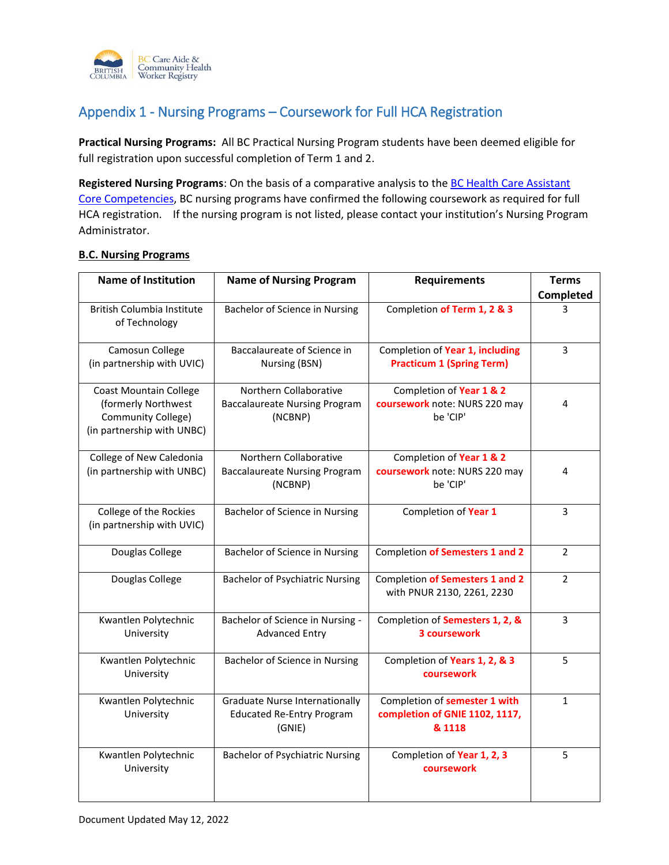

## Appendix 1 - Nursing Programs – Coursework for Full HCA Registration

**Practical Nursing Programs:** All BC Practical Nursing Program students have been deemed eligible for full registration upon successful completion of Term 1 and 2.

**Registered Nursing Programs**: On the basis of a comparative analysis to th[e BC Health Care Assistant](https://www.cachwr.bc.ca/getattachment/About-the-Registry/Resources/HCA-Core-Competency-Profile_March2014-(2).pdf.aspx)  [Core Competencies,](https://www.cachwr.bc.ca/getattachment/About-the-Registry/Resources/HCA-Core-Competency-Profile_March2014-(2).pdf.aspx) BC nursing programs have confirmed the following coursework as required for full HCA registration. If the nursing program is not listed, please contact your institution's Nursing Program Administrator.

## **B.C. Nursing Programs**

| <b>Name of Institution</b>                                                                               | <b>Name of Nursing Program</b>                                                      | <b>Requirements</b>                                                       | <b>Terms</b><br>Completed |
|----------------------------------------------------------------------------------------------------------|-------------------------------------------------------------------------------------|---------------------------------------------------------------------------|---------------------------|
| <b>British Columbia Institute</b><br>of Technology                                                       | Bachelor of Science in Nursing                                                      | Completion of Term 1, 2 & 3                                               | 3                         |
| Camosun College<br>(in partnership with UVIC)                                                            | Baccalaureate of Science in<br>Nursing (BSN)                                        | Completion of Year 1, including<br><b>Practicum 1 (Spring Term)</b>       | $\mathbf{3}$              |
| <b>Coast Mountain College</b><br>(formerly Northwest<br>Community College)<br>(in partnership with UNBC) | Northern Collaborative<br><b>Baccalaureate Nursing Program</b><br>(NCBNP)           | Completion of Year 1 & 2<br>coursework note: NURS 220 may<br>be 'CIP'     | 4                         |
| College of New Caledonia<br>(in partnership with UNBC)                                                   | Northern Collaborative<br><b>Baccalaureate Nursing Program</b><br>(NCBNP)           | Completion of Year 1 & 2<br>coursework note: NURS 220 may<br>be 'CIP'     | 4                         |
| College of the Rockies<br>(in partnership with UVIC)                                                     | Bachelor of Science in Nursing                                                      | Completion of Year 1                                                      | 3                         |
| Douglas College                                                                                          | Bachelor of Science in Nursing                                                      | Completion of Semesters 1 and 2                                           | $\overline{2}$            |
| Douglas College                                                                                          | <b>Bachelor of Psychiatric Nursing</b>                                              | Completion of Semesters 1 and 2<br>with PNUR 2130, 2261, 2230             | $\mathcal{P}$             |
| Kwantlen Polytechnic<br>University                                                                       | Bachelor of Science in Nursing -<br><b>Advanced Entry</b>                           | Completion of Semesters 1, 2, &<br>3 coursework                           | 3                         |
| Kwantlen Polytechnic<br>University                                                                       | Bachelor of Science in Nursing                                                      | Completion of Years 1, 2, & 3<br>coursework                               | 5                         |
| Kwantlen Polytechnic<br>University                                                                       | <b>Graduate Nurse Internationally</b><br><b>Educated Re-Entry Program</b><br>(GNIE) | Completion of semester 1 with<br>completion of GNIE 1102, 1117,<br>& 1118 | $\mathbf{1}$              |
| Kwantlen Polytechnic<br>University                                                                       | <b>Bachelor of Psychiatric Nursing</b>                                              | Completion of Year 1, 2, 3<br>coursework                                  | 5                         |